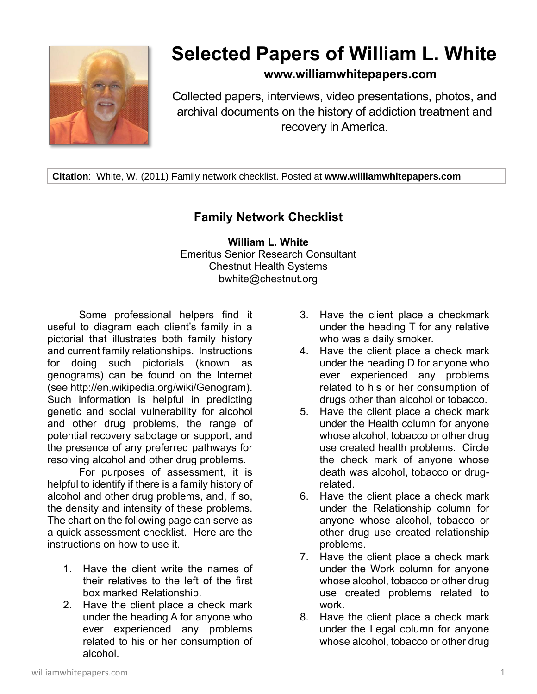

## **Selected Papers of William L. White**

## **www.williamwhitepapers.com**

Collected papers, interviews, video presentations, photos, and archival documents on the history of addiction treatment and recovery in America.

**Citation**: White, W. (2011) Family network checklist. Posted at **www.williamwhitepapers.com**

## **Family Network Checklist**

**William L. White** Emeritus Senior Research Consultant Chestnut Health Systems bwhite@chestnut.org

Some professional helpers find it useful to diagram each client's family in a pictorial that illustrates both family history and current family relationships. Instructions for doing such pictorials (known as genograms) can be found on the Internet (see http://en.wikipedia.org/wiki/Genogram). Such information is helpful in predicting genetic and social vulnerability for alcohol and other drug problems, the range of potential recovery sabotage or support, and the presence of any preferred pathways for resolving alcohol and other drug problems.

For purposes of assessment, it is helpful to identify if there is a family history of alcohol and other drug problems, and, if so, the density and intensity of these problems. The chart on the following page can serve as a quick assessment checklist. Here are the instructions on how to use it.

- 1. Have the client write the names of their relatives to the left of the first box marked Relationship.
- 2. Have the client place a check mark under the heading A for anyone who ever experienced any problems related to his or her consumption of alcohol.
- 3. Have the client place a checkmark under the heading T for any relative who was a daily smoker.
- 4. Have the client place a check mark under the heading D for anyone who ever experienced any problems related to his or her consumption of drugs other than alcohol or tobacco.
- 5. Have the client place a check mark under the Health column for anyone whose alcohol, tobacco or other drug use created health problems. Circle the check mark of anyone whose death was alcohol, tobacco or drugrelated.
- 6. Have the client place a check mark under the Relationship column for anyone whose alcohol, tobacco or other drug use created relationship problems.
- 7. Have the client place a check mark under the Work column for anyone whose alcohol, tobacco or other drug use created problems related to work.
- 8. Have the client place a check mark under the Legal column for anyone whose alcohol, tobacco or other drug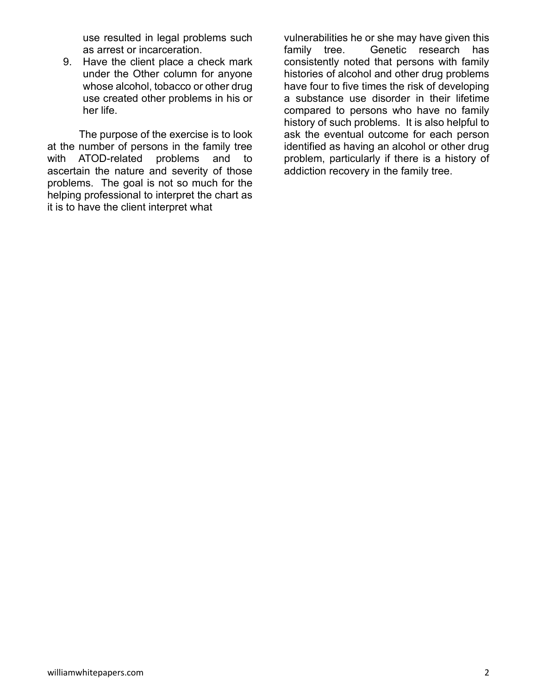use resulted in legal problems such as arrest or incarceration.

9. Have the client place a check mark under the Other column for anyone whose alcohol, tobacco or other drug use created other problems in his or her life.

The purpose of the exercise is to look at the number of persons in the family tree with ATOD-related problems and to ascertain the nature and severity of those problems. The goal is not so much for the helping professional to interpret the chart as it is to have the client interpret what

vulnerabilities he or she may have given this family tree. Genetic research has consistently noted that persons with family histories of alcohol and other drug problems have four to five times the risk of developing a substance use disorder in their lifetime compared to persons who have no family history of such problems. It is also helpful to ask the eventual outcome for each person identified as having an alcohol or other drug problem, particularly if there is a history of addiction recovery in the family tree.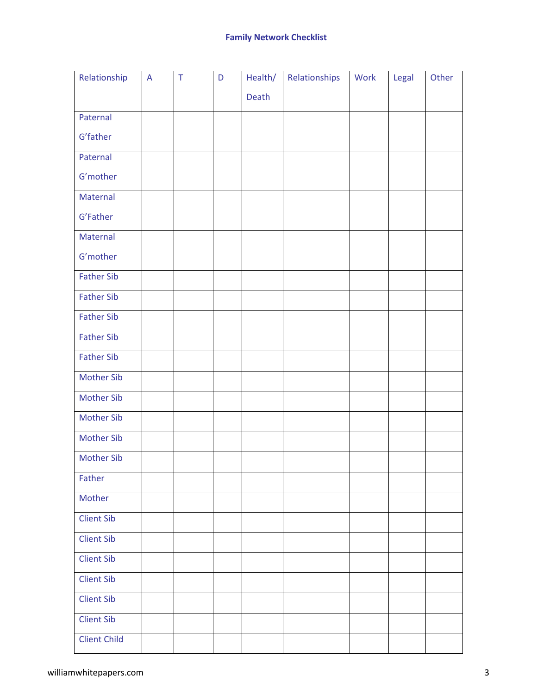| Relationship        | $\overline{A}$ | $\top$ | D | Health/ | Relationships | Work | Legal | Other |
|---------------------|----------------|--------|---|---------|---------------|------|-------|-------|
|                     |                |        |   | Death   |               |      |       |       |
| Paternal            |                |        |   |         |               |      |       |       |
| G'father            |                |        |   |         |               |      |       |       |
| Paternal            |                |        |   |         |               |      |       |       |
| G'mother            |                |        |   |         |               |      |       |       |
| Maternal            |                |        |   |         |               |      |       |       |
| G'Father            |                |        |   |         |               |      |       |       |
| Maternal            |                |        |   |         |               |      |       |       |
| G'mother            |                |        |   |         |               |      |       |       |
| <b>Father Sib</b>   |                |        |   |         |               |      |       |       |
| <b>Father Sib</b>   |                |        |   |         |               |      |       |       |
| <b>Father Sib</b>   |                |        |   |         |               |      |       |       |
| <b>Father Sib</b>   |                |        |   |         |               |      |       |       |
| <b>Father Sib</b>   |                |        |   |         |               |      |       |       |
| <b>Mother Sib</b>   |                |        |   |         |               |      |       |       |
| <b>Mother Sib</b>   |                |        |   |         |               |      |       |       |
| <b>Mother Sib</b>   |                |        |   |         |               |      |       |       |
| <b>Mother Sib</b>   |                |        |   |         |               |      |       |       |
| <b>Mother Sib</b>   |                |        |   |         |               |      |       |       |
| Father              |                |        |   |         |               |      |       |       |
| Mother              |                |        |   |         |               |      |       |       |
| <b>Client Sib</b>   |                |        |   |         |               |      |       |       |
| <b>Client Sib</b>   |                |        |   |         |               |      |       |       |
| Client Sib          |                |        |   |         |               |      |       |       |
| <b>Client Sib</b>   |                |        |   |         |               |      |       |       |
| <b>Client Sib</b>   |                |        |   |         |               |      |       |       |
| <b>Client Sib</b>   |                |        |   |         |               |      |       |       |
| <b>Client Child</b> |                |        |   |         |               |      |       |       |